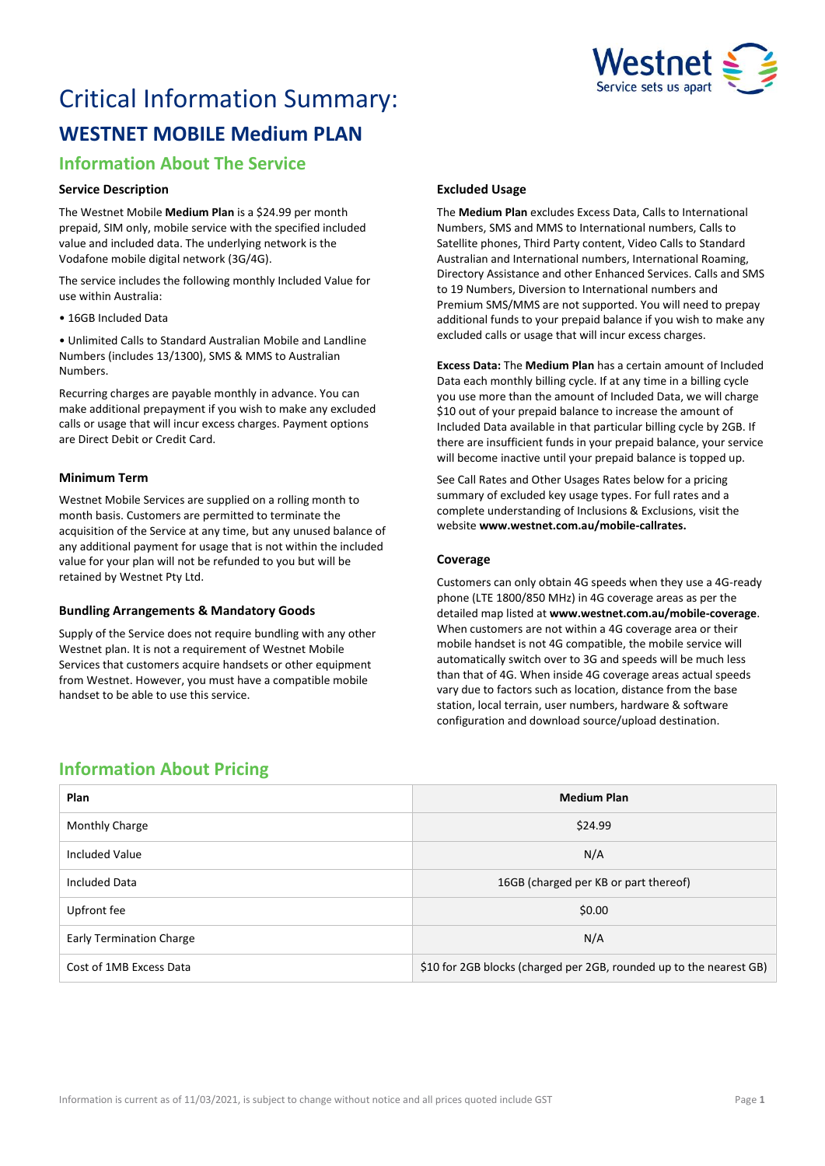

# Critical Information Summary:

# **WESTNET MOBILE Medium PLAN**

# **Information About The Service**

# **Service Description**

The Westnet Mobile **Medium Plan** is a \$24.99 per month prepaid, SIM only, mobile service with the specified included value and included data. The underlying network is the Vodafone mobile digital network (3G/4G).

The service includes the following monthly Included Value for use within Australia:

• 16GB Included Data

• Unlimited Calls to Standard Australian Mobile and Landline Numbers (includes 13/1300), SMS & MMS to Australian Numbers.

Recurring charges are payable monthly in advance. You can make additional prepayment if you wish to make any excluded calls or usage that will incur excess charges. Payment options are Direct Debit or Credit Card.

## **Minimum Term**

Westnet Mobile Services are supplied on a rolling month to month basis. Customers are permitted to terminate the acquisition of the Service at any time, but any unused balance of any additional payment for usage that is not within the included value for your plan will not be refunded to you but will be retained by Westnet Pty Ltd.

## **Bundling Arrangements & Mandatory Goods**

Supply of the Service does not require bundling with any other Westnet plan. It is not a requirement of Westnet Mobile Services that customers acquire handsets or other equipment from Westnet. However, you must have a compatible mobile handset to be able to use this service.

# **Excluded Usage**

The **Medium Plan** excludes Excess Data, Calls to International Numbers, SMS and MMS to International numbers, Calls to Satellite phones, Third Party content, Video Calls to Standard Australian and International numbers, International Roaming, Directory Assistance and other Enhanced Services. Calls and SMS to 19 Numbers, Diversion to International numbers and Premium SMS/MMS are not supported. You will need to prepay additional funds to your prepaid balance if you wish to make any excluded calls or usage that will incur excess charges.

**Excess Data:** The **Medium Plan** has a certain amount of Included Data each monthly billing cycle. If at any time in a billing cycle you use more than the amount of Included Data, we will charge \$10 out of your prepaid balance to increase the amount of Included Data available in that particular billing cycle by 2GB. If there are insufficient funds in your prepaid balance, your service will become inactive until your prepaid balance is topped up.

See Call Rates and Other Usages Rates below for a pricing summary of excluded key usage types. For full rates and a complete understanding of Inclusions & Exclusions, visit the website **[www.westnet.com.au/mobile-callrates.](http://www.westnet.com.au/mobile-callrates)**

## **Coverage**

Customers can only obtain 4G speeds when they use a 4G-ready phone (LTE 1800/850 MHz) in 4G coverage areas as per the detailed map listed at **[www.westnet.com.au/mobile-coverage](https://www.westnet.com.au/mobile-coverage)**. When customers are not within a 4G coverage area or their mobile handset is not 4G compatible, the mobile service will automatically switch over to 3G and speeds will be much less than that of 4G. When inside 4G coverage areas actual speeds vary due to factors such as location, distance from the base station, local terrain, user numbers, hardware & software configuration and download source/upload destination.

# **Information About Pricing**

| Plan                            | <b>Medium Plan</b>                                                  |
|---------------------------------|---------------------------------------------------------------------|
| Monthly Charge                  | \$24.99                                                             |
| Included Value                  | N/A                                                                 |
| <b>Included Data</b>            | 16GB (charged per KB or part thereof)                               |
| Upfront fee                     | \$0.00                                                              |
| <b>Early Termination Charge</b> | N/A                                                                 |
| Cost of 1MB Excess Data         | \$10 for 2GB blocks (charged per 2GB, rounded up to the nearest GB) |